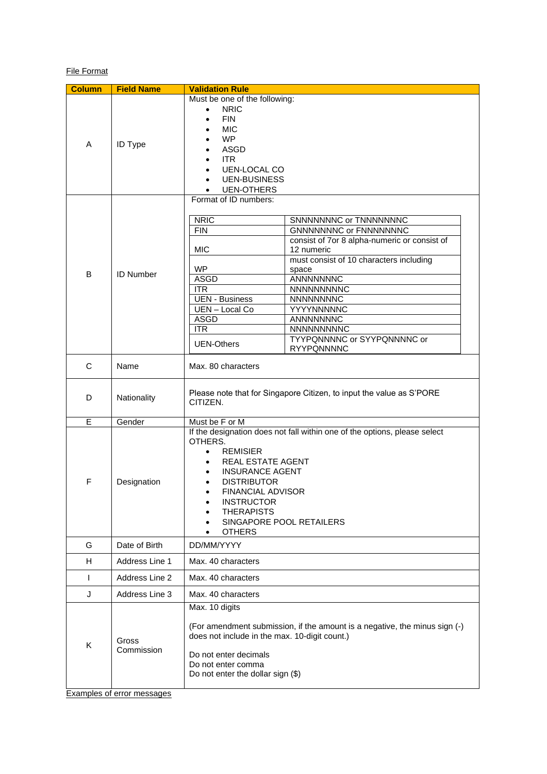# File Format

| <b>Column</b> | <b>Field Name</b>   | <b>Validation Rule</b>                                                                                                                                                                                                                                                                                                                                                                                                                                                                                                         |  |  |
|---------------|---------------------|--------------------------------------------------------------------------------------------------------------------------------------------------------------------------------------------------------------------------------------------------------------------------------------------------------------------------------------------------------------------------------------------------------------------------------------------------------------------------------------------------------------------------------|--|--|
| A             | <b>ID Type</b>      | Must be one of the following:<br><b>NRIC</b><br><b>FIN</b><br>$\bullet$<br><b>MIC</b><br><b>WP</b><br><b>ASGD</b><br><b>ITR</b><br><b>UEN-LOCAL CO</b><br><b>UEN-BUSINESS</b><br><b>UEN-OTHERS</b>                                                                                                                                                                                                                                                                                                                             |  |  |
| В             | <b>ID Number</b>    | Format of ID numbers:<br>SNNNNNNNC or TNNNNNNNC<br><b>NRIC</b><br><b>GNNNNNNNC</b> or FNNNNNNNC<br><b>FIN</b><br>consist of 7or 8 alpha-numeric or consist of<br><b>MIC</b><br>12 numeric<br>must consist of 10 characters including<br><b>WP</b><br>space<br><b>ASGD</b><br>ANNNNNNNC<br><b>ITR</b><br><b>NNNNNNNNNC</b><br><b>UEN - Business</b><br>NNNNNNNNC<br>UEN-Local Co<br>YYYYNNNNNC<br><b>ASGD</b><br>ANNNNNNNC<br><b>ITR</b><br>NNNNNNNNNC<br>TYYPQNNNNC or SYYPQNNNNC or<br><b>UEN-Others</b><br><b>RYYPQNNNNC</b> |  |  |
| C             | Name                | Max. 80 characters                                                                                                                                                                                                                                                                                                                                                                                                                                                                                                             |  |  |
| D             | Nationality         | Please note that for Singapore Citizen, to input the value as S'PORE<br>CITIZEN.                                                                                                                                                                                                                                                                                                                                                                                                                                               |  |  |
| E             | Gender              | Must be F or M                                                                                                                                                                                                                                                                                                                                                                                                                                                                                                                 |  |  |
| F             | Designation         | If the designation does not fall within one of the options, please select<br>OTHERS.<br><b>REMISIER</b><br>$\bullet$<br>REAL ESTATE AGENT<br><b>INSURANCE AGENT</b><br><b>DISTRIBUTOR</b><br><b>FINANCIAL ADVISOR</b><br>$\bullet$<br><b>INSTRUCTOR</b><br><b>THERAPISTS</b><br>SINGAPORE POOL RETAILERS<br><b>OTHERS</b>                                                                                                                                                                                                      |  |  |
| G             | Date of Birth       | DD/MM/YYYY                                                                                                                                                                                                                                                                                                                                                                                                                                                                                                                     |  |  |
| H             | Address Line 1      | Max. 40 characters                                                                                                                                                                                                                                                                                                                                                                                                                                                                                                             |  |  |
| $\mathsf{I}$  | Address Line 2      | Max. 40 characters                                                                                                                                                                                                                                                                                                                                                                                                                                                                                                             |  |  |
| J             | Address Line 3      | Max. 40 characters                                                                                                                                                                                                                                                                                                                                                                                                                                                                                                             |  |  |
| Κ             | Gross<br>Commission | Max. 10 digits<br>(For amendment submission, if the amount is a negative, the minus sign (-)<br>does not include in the max. 10-digit count.)<br>Do not enter decimals<br>Do not enter comma<br>Do not enter the dollar sign (\$)                                                                                                                                                                                                                                                                                              |  |  |

Examples of error messages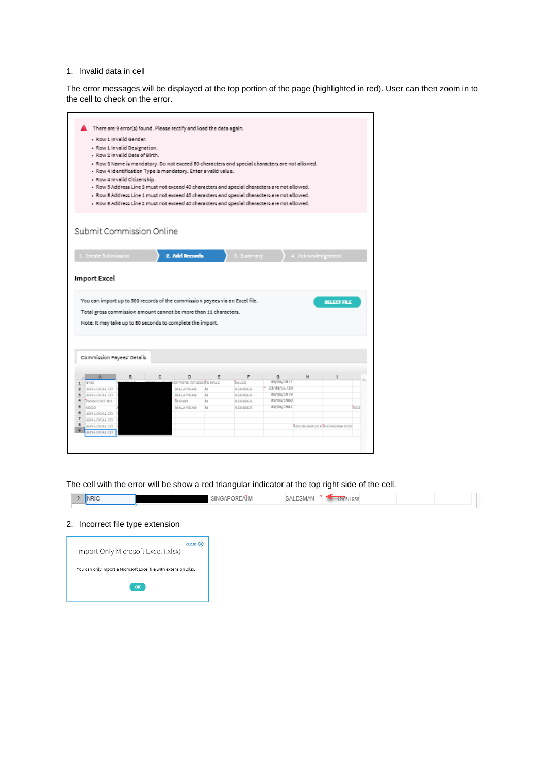#### 1. Invalid data in cell

The error messages will be displayed at the top portion of the page (highlighted in red). User can then zoom in to the cell to check on the error.

| $\mathbf{\Lambda}$ There are 9 error(s) found. Please rectify and load the data again.                                                                |   |   |                                                                |        |                      |                                                                                                |                    |                             |
|-------------------------------------------------------------------------------------------------------------------------------------------------------|---|---|----------------------------------------------------------------|--------|----------------------|------------------------------------------------------------------------------------------------|--------------------|-----------------------------|
| - Row 1 Invalid Gender.                                                                                                                               |   |   |                                                                |        |                      |                                                                                                |                    |                             |
| - Row 1 Invalid Designation.<br>- Row 2 Invalid Date of Birth.                                                                                        |   |   |                                                                |        |                      |                                                                                                |                    |                             |
|                                                                                                                                                       |   |   |                                                                |        |                      | - Row 3 Name is mandatory. Do not exceed 80 characters and special characters are not allowed. |                    |                             |
|                                                                                                                                                       |   |   | - Row 4 Identification Type is mandatory. Enter a valid value. |        |                      |                                                                                                |                    |                             |
| - Row 4 Invalid Citizenship.                                                                                                                          |   |   |                                                                |        |                      |                                                                                                |                    |                             |
|                                                                                                                                                       |   |   |                                                                |        |                      | - Row 5 Address Line 3 must not exceed 40 characters and special characters are not allowed.   |                    |                             |
|                                                                                                                                                       |   |   |                                                                |        |                      | - Row 8 Address Line 1 must not exceed 40 characters and special characters are not allowed.   |                    |                             |
|                                                                                                                                                       |   |   |                                                                |        |                      | - Row 8 Address Line 2 must not exceed 40 characters and special characters are not allowed.   |                    |                             |
|                                                                                                                                                       |   |   |                                                                |        |                      |                                                                                                |                    |                             |
|                                                                                                                                                       |   |   |                                                                |        |                      |                                                                                                |                    |                             |
| Submit Commission Online                                                                                                                              |   |   |                                                                |        |                      |                                                                                                |                    |                             |
|                                                                                                                                                       |   |   |                                                                |        |                      |                                                                                                |                    |                             |
| 1. Create Submission                                                                                                                                  |   |   | 2. Add Records                                                 |        | 3. Summary           |                                                                                                | 4. Acknowledgement |                             |
|                                                                                                                                                       |   |   |                                                                |        |                      |                                                                                                |                    |                             |
| You can import up to 500 records of the commission payees via an Excel file.                                                                          |   |   |                                                                |        |                      |                                                                                                |                    | <b>SELECT FILE</b>          |
| <b>Import Excel</b><br>Total gross commission amount cannot be more than 11 characters.<br>Note: It may take up to 80 seconds to complete the import. |   |   |                                                                |        |                      |                                                                                                |                    |                             |
| Commission Payees' Details                                                                                                                            |   |   |                                                                |        |                      |                                                                                                |                    |                             |
| ñ.                                                                                                                                                    | B | c | D                                                              | E      | F                    | a                                                                                              | Н                  |                             |
| NRIO                                                                                                                                                  |   |   | <b>SEPORE OTHERWEENALE</b>                                     |        | BALES                | US/US/1977                                                                                     |                    |                             |
| UEN-LOCAL CO.<br>UEN-LOCAL CO                                                                                                                         |   |   | MALAYSIAN<br><b>MALAYSIAN</b>                                  | M<br>ы | REMISSION<br>REMISSR | 23/10/25/29<br>US/U6/1979                                                                      |                    |                             |
| <b>DASSPORT NO</b>                                                                                                                                    |   |   | Trows                                                          | ы      | REMISSION            | US/LIMITED                                                                                     |                    |                             |
|                                                                                                                                                       |   |   | <b>BIALAYSIAN</b>                                              | ы      | REMISSR              | LENUB/1581                                                                                     |                    |                             |
| UEN-LOCAL CO.                                                                                                                                         |   |   |                                                                |        |                      |                                                                                                |                    |                             |
| ø<br>5<br>B ASCO<br>ø<br>7<br>UEN-LOCAL CO.<br>а<br>UEN-LOCAL CO.                                                                                     |   |   |                                                                |        |                      |                                                                                                |                    | SCOARS 25008 TABLASS READER |

## The cell with the error will be show a red triangular indicator at the top right side of the cell.

| $\sim$<br>∠ | <b>NRIC</b> | SINGAPOREAIM | SAI FSMAN | 12/05/1958 |
|-------------|-------------|--------------|-----------|------------|
|             |             |              |           |            |

#### 2. Incorrect file type extension

I